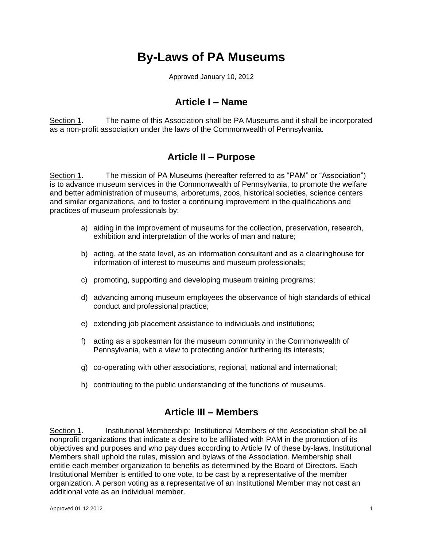# **By-Laws of PA Museums**

Approved January 10, 2012

### **Article I – Name**

Section 1. The name of this Association shall be PA Museums and it shall be incorporated as a non-profit association under the laws of the Commonwealth of Pennsylvania.

## **Article II – Purpose**

Section 1. The mission of PA Museums (hereafter referred to as "PAM" or "Association") is to advance museum services in the Commonwealth of Pennsylvania, to promote the welfare and better administration of museums, arboretums, zoos, historical societies, science centers and similar organizations, and to foster a continuing improvement in the qualifications and practices of museum professionals by:

- a) aiding in the improvement of museums for the collection, preservation, research, exhibition and interpretation of the works of man and nature;
- b) acting, at the state level, as an information consultant and as a clearinghouse for information of interest to museums and museum professionals;
- c) promoting, supporting and developing museum training programs;
- d) advancing among museum employees the observance of high standards of ethical conduct and professional practice;
- e) extending job placement assistance to individuals and institutions;
- f) acting as a spokesman for the museum community in the Commonwealth of Pennsylvania, with a view to protecting and/or furthering its interests;
- g) co-operating with other associations, regional, national and international;
- h) contributing to the public understanding of the functions of museums.

### **Article III – Members**

Section 1. Institutional Membership: Institutional Members of the Association shall be all nonprofit organizations that indicate a desire to be affiliated with PAM in the promotion of its objectives and purposes and who pay dues according to Article IV of these by-laws. Institutional Members shall uphold the rules, mission and bylaws of the Association. Membership shall entitle each member organization to benefits as determined by the Board of Directors. Each Institutional Member is entitled to one vote, to be cast by a representative of the member organization. A person voting as a representative of an Institutional Member may not cast an additional vote as an individual member.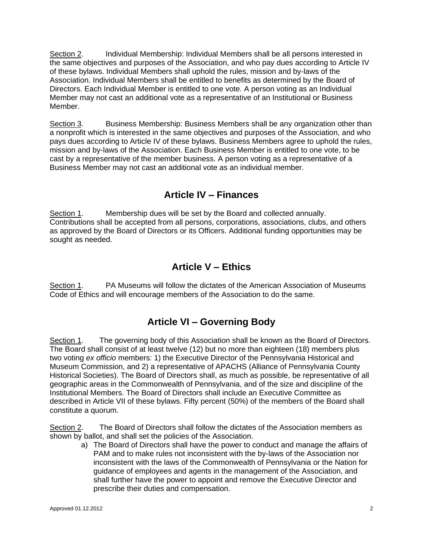Section 2. Individual Membership: Individual Members shall be all persons interested in the same objectives and purposes of the Association, and who pay dues according to Article IV of these bylaws. Individual Members shall uphold the rules, mission and by-laws of the Association. Individual Members shall be entitled to benefits as determined by the Board of Directors. Each Individual Member is entitled to one vote. A person voting as an Individual Member may not cast an additional vote as a representative of an Institutional or Business Member.

Section 3. Business Membership: Business Members shall be any organization other than a nonprofit which is interested in the same objectives and purposes of the Association, and who pays dues according to Article IV of these bylaws. Business Members agree to uphold the rules, mission and by-laws of the Association. Each Business Member is entitled to one vote, to be cast by a representative of the member business. A person voting as a representative of a Business Member may not cast an additional vote as an individual member.

## **Article IV – Finances**

Section 1. Membership dues will be set by the Board and collected annually. Contributions shall be accepted from all persons, corporations, associations, clubs, and others as approved by the Board of Directors or its Officers. Additional funding opportunities may be sought as needed.

## **Article V – Ethics**

Section 1. PA Museums will follow the dictates of the American Association of Museums Code of Ethics and will encourage members of the Association to do the same.

## **Article VI – Governing Body**

Section 1. The governing body of this Association shall be known as the Board of Directors. The Board shall consist of at least twelve (12) but no more than eighteen (18) members plus two voting *ex officio* members: 1) the Executive Director of the Pennsylvania Historical and Museum Commission, and 2) a representative of APACHS (Alliance of Pennsylvania County Historical Societies). The Board of Directors shall, as much as possible, be representative of all geographic areas in the Commonwealth of Pennsylvania, and of the size and discipline of the Institutional Members. The Board of Directors shall include an Executive Committee as described in Article VII of these bylaws. Fifty percent (50%) of the members of the Board shall constitute a quorum.

Section 2. The Board of Directors shall follow the dictates of the Association members as shown by ballot, and shall set the policies of the Association.

a) The Board of Directors shall have the power to conduct and manage the affairs of PAM and to make rules not inconsistent with the by-laws of the Association nor inconsistent with the laws of the Commonwealth of Pennsylvania or the Nation for guidance of employees and agents in the management of the Association, and shall further have the power to appoint and remove the Executive Director and prescribe their duties and compensation.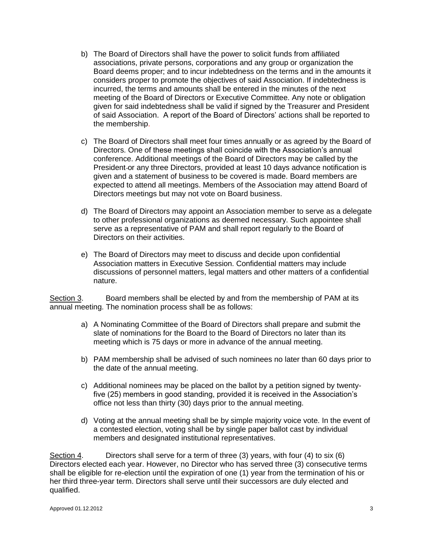- b) The Board of Directors shall have the power to solicit funds from affiliated associations, private persons, corporations and any group or organization the Board deems proper; and to incur indebtedness on the terms and in the amounts it considers proper to promote the objectives of said Association. If indebtedness is incurred, the terms and amounts shall be entered in the minutes of the next meeting of the Board of Directors or Executive Committee. Any note or obligation given for said indebtedness shall be valid if signed by the Treasurer and President of said Association. A report of the Board of Directors' actions shall be reported to the membership.
- c) The Board of Directors shall meet four times annually or as agreed by the Board of Directors. One of these meetings shall coincide with the Association's annual conference. Additional meetings of the Board of Directors may be called by the President-or any three Directors, provided at least 10 days advance notification is given and a statement of business to be covered is made. Board members are expected to attend all meetings. Members of the Association may attend Board of Directors meetings but may not vote on Board business.
- d) The Board of Directors may appoint an Association member to serve as a delegate to other professional organizations as deemed necessary. Such appointee shall serve as a representative of PAM and shall report regularly to the Board of Directors on their activities.
- e) The Board of Directors may meet to discuss and decide upon confidential Association matters in Executive Session. Confidential matters may include discussions of personnel matters, legal matters and other matters of a confidential nature.

Section 3. Board members shall be elected by and from the membership of PAM at its annual meeting. The nomination process shall be as follows:

- a) A Nominating Committee of the Board of Directors shall prepare and submit the slate of nominations for the Board to the Board of Directors no later than its meeting which is 75 days or more in advance of the annual meeting.
- b) PAM membership shall be advised of such nominees no later than 60 days prior to the date of the annual meeting.
- c) Additional nominees may be placed on the ballot by a petition signed by twentyfive (25) members in good standing, provided it is received in the Association's office not less than thirty (30) days prior to the annual meeting.
- d) Voting at the annual meeting shall be by simple majority voice vote. In the event of a contested election, voting shall be by single paper ballot cast by individual members and designated institutional representatives.

Section 4. Directors shall serve for a term of three (3) years, with four (4) to six (6) Directors elected each year. However, no Director who has served three (3) consecutive terms shall be eligible for re-election until the expiration of one (1) year from the termination of his or her third three-year term. Directors shall serve until their successors are duly elected and qualified.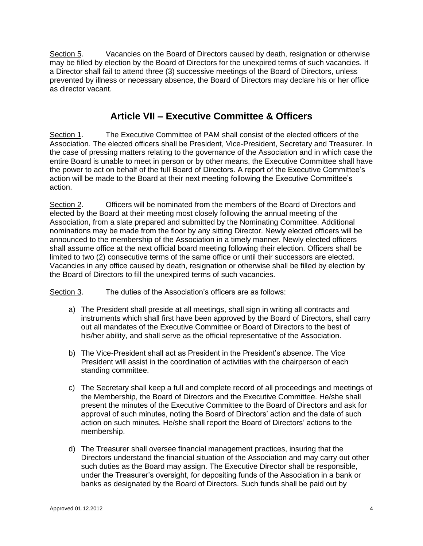Section 5. Vacancies on the Board of Directors caused by death, resignation or otherwise may be filled by election by the Board of Directors for the unexpired terms of such vacancies. If a Director shall fail to attend three (3) successive meetings of the Board of Directors, unless prevented by illness or necessary absence, the Board of Directors may declare his or her office as director vacant.

## **Article VII – Executive Committee & Officers**

Section 1. The Executive Committee of PAM shall consist of the elected officers of the Association. The elected officers shall be President, Vice-President, Secretary and Treasurer. In the case of pressing matters relating to the governance of the Association and in which case the entire Board is unable to meet in person or by other means, the Executive Committee shall have the power to act on behalf of the full Board of Directors. A report of the Executive Committee's action will be made to the Board at their next meeting following the Executive Committee's action.

Section 2. Officers will be nominated from the members of the Board of Directors and elected by the Board at their meeting most closely following the annual meeting of the Association, from a slate prepared and submitted by the Nominating Committee. Additional nominations may be made from the floor by any sitting Director. Newly elected officers will be announced to the membership of the Association in a timely manner. Newly elected officers shall assume office at the next official board meeting following their election. Officers shall be limited to two (2) consecutive terms of the same office or until their successors are elected. Vacancies in any office caused by death, resignation or otherwise shall be filled by election by the Board of Directors to fill the unexpired terms of such vacancies.

Section 3. The duties of the Association's officers are as follows:

- a) The President shall preside at all meetings, shall sign in writing all contracts and instruments which shall first have been approved by the Board of Directors, shall carry out all mandates of the Executive Committee or Board of Directors to the best of his/her ability, and shall serve as the official representative of the Association.
- b) The Vice-President shall act as President in the President's absence. The Vice President will assist in the coordination of activities with the chairperson of each standing committee.
- c) The Secretary shall keep a full and complete record of all proceedings and meetings of the Membership, the Board of Directors and the Executive Committee. He/she shall present the minutes of the Executive Committee to the Board of Directors and ask for approval of such minutes, noting the Board of Directors' action and the date of such action on such minutes. He/she shall report the Board of Directors' actions to the membership.
- d) The Treasurer shall oversee financial management practices, insuring that the Directors understand the financial situation of the Association and may carry out other such duties as the Board may assign. The Executive Director shall be responsible, under the Treasurer's oversight, for depositing funds of the Association in a bank or banks as designated by the Board of Directors. Such funds shall be paid out by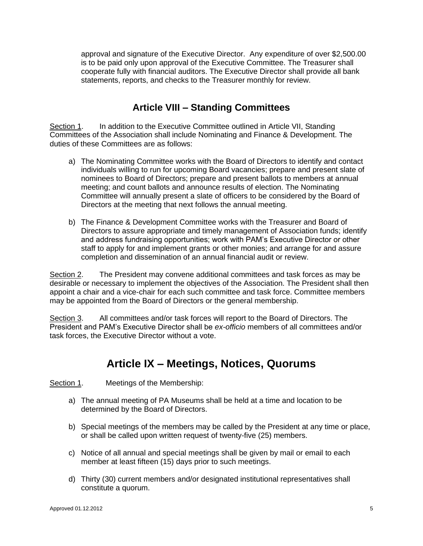approval and signature of the Executive Director. Any expenditure of over \$2,500.00 is to be paid only upon approval of the Executive Committee. The Treasurer shall cooperate fully with financial auditors. The Executive Director shall provide all bank statements, reports, and checks to the Treasurer monthly for review.

## **Article VIII – Standing Committees**

Section 1. In addition to the Executive Committee outlined in Article VII, Standing Committees of the Association shall include Nominating and Finance & Development. The duties of these Committees are as follows:

- a) The Nominating Committee works with the Board of Directors to identify and contact individuals willing to run for upcoming Board vacancies; prepare and present slate of nominees to Board of Directors; prepare and present ballots to members at annual meeting; and count ballots and announce results of election. The Nominating Committee will annually present a slate of officers to be considered by the Board of Directors at the meeting that next follows the annual meeting.
- b) The Finance & Development Committee works with the Treasurer and Board of Directors to assure appropriate and timely management of Association funds; identify and address fundraising opportunities; work with PAM's Executive Director or other staff to apply for and implement grants or other monies; and arrange for and assure completion and dissemination of an annual financial audit or review.

Section 2. The President may convene additional committees and task forces as may be desirable or necessary to implement the objectives of the Association. The President shall then appoint a chair and a vice-chair for each such committee and task force. Committee members may be appointed from the Board of Directors or the general membership.

Section 3. All committees and/or task forces will report to the Board of Directors. The President and PAM's Executive Director shall be *ex-officio* members of all committees and/or task forces, the Executive Director without a vote.

## **Article IX – Meetings, Notices, Quorums**

Section 1. Meetings of the Membership:

- a) The annual meeting of PA Museums shall be held at a time and location to be determined by the Board of Directors.
- b) Special meetings of the members may be called by the President at any time or place, or shall be called upon written request of twenty-five (25) members.
- c) Notice of all annual and special meetings shall be given by mail or email to each member at least fifteen (15) days prior to such meetings.
- d) Thirty (30) current members and/or designated institutional representatives shall constitute a quorum.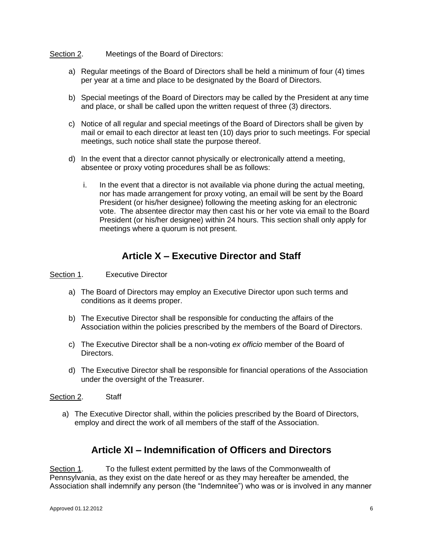#### Section 2. Meetings of the Board of Directors:

- a) Regular meetings of the Board of Directors shall be held a minimum of four (4) times per year at a time and place to be designated by the Board of Directors.
- b) Special meetings of the Board of Directors may be called by the President at any time and place, or shall be called upon the written request of three (3) directors.
- c) Notice of all regular and special meetings of the Board of Directors shall be given by mail or email to each director at least ten (10) days prior to such meetings. For special meetings, such notice shall state the purpose thereof.
- d) In the event that a director cannot physically or electronically attend a meeting, absentee or proxy voting procedures shall be as follows:
	- i. In the event that a director is not available via phone during the actual meeting, nor has made arrangement for proxy voting, an email will be sent by the Board President (or his/her designee) following the meeting asking for an electronic vote. The absentee director may then cast his or her vote via email to the Board President (or his/her designee) within 24 hours. This section shall only apply for meetings where a quorum is not present.

## **Article X – Executive Director and Staff**

#### Section 1. Executive Director

- a) The Board of Directors may employ an Executive Director upon such terms and conditions as it deems proper.
- b) The Executive Director shall be responsible for conducting the affairs of the Association within the policies prescribed by the members of the Board of Directors.
- c) The Executive Director shall be a non-voting *ex officio* member of the Board of Directors.
- d) The Executive Director shall be responsible for financial operations of the Association under the oversight of the Treasurer.

#### Section 2. Staff

a) The Executive Director shall, within the policies prescribed by the Board of Directors, employ and direct the work of all members of the staff of the Association.

### **Article XI – Indemnification of Officers and Directors**

Section 1. To the fullest extent permitted by the laws of the Commonwealth of Pennsylvania, as they exist on the date hereof or as they may hereafter be amended, the Association shall indemnify any person (the "Indemnitee") who was or is involved in any manner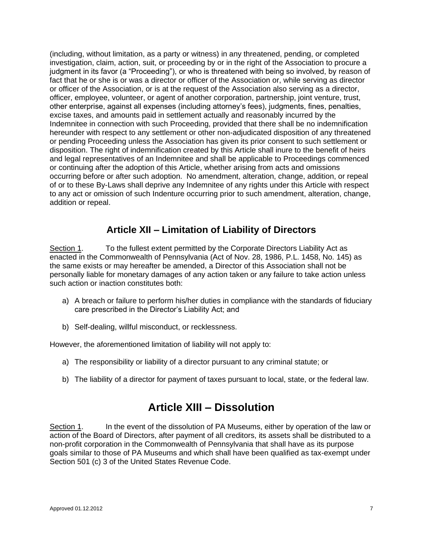(including, without limitation, as a party or witness) in any threatened, pending, or completed investigation, claim, action, suit, or proceeding by or in the right of the Association to procure a judgment in its favor (a "Proceeding"), or who is threatened with being so involved, by reason of fact that he or she is or was a director or officer of the Association or, while serving as director or officer of the Association, or is at the request of the Association also serving as a director, officer, employee, volunteer, or agent of another corporation, partnership, joint venture, trust, other enterprise, against all expenses (including attorney's fees), judgments, fines, penalties, excise taxes, and amounts paid in settlement actually and reasonably incurred by the Indemnitee in connection with such Proceeding, provided that there shall be no indemnification hereunder with respect to any settlement or other non-adjudicated disposition of any threatened or pending Proceeding unless the Association has given its prior consent to such settlement or disposition. The right of indemnification created by this Article shall inure to the benefit of heirs and legal representatives of an Indemnitee and shall be applicable to Proceedings commenced or continuing after the adoption of this Article, whether arising from acts and omissions occurring before or after such adoption. No amendment, alteration, change, addition, or repeal of or to these By-Laws shall deprive any Indemnitee of any rights under this Article with respect to any act or omission of such Indenture occurring prior to such amendment, alteration, change, addition or repeal.

## **Article XII – Limitation of Liability of Directors**

Section 1. To the fullest extent permitted by the Corporate Directors Liability Act as enacted in the Commonwealth of Pennsylvania (Act of Nov. 28, 1986, P.L. 1458, No. 145) as the same exists or may hereafter be amended, a Director of this Association shall not be personally liable for monetary damages of any action taken or any failure to take action unless such action or inaction constitutes both:

- a) A breach or failure to perform his/her duties in compliance with the standards of fiduciary care prescribed in the Director's Liability Act; and
- b) Self-dealing, willful misconduct, or recklessness.

However, the aforementioned limitation of liability will not apply to:

- a) The responsibility or liability of a director pursuant to any criminal statute; or
- b) The liability of a director for payment of taxes pursuant to local, state, or the federal law.

## **Article XIII – Dissolution**

Section 1. In the event of the dissolution of PA Museums, either by operation of the law or action of the Board of Directors, after payment of all creditors, its assets shall be distributed to a non-profit corporation in the Commonwealth of Pennsylvania that shall have as its purpose goals similar to those of PA Museums and which shall have been qualified as tax-exempt under Section 501 (c) 3 of the United States Revenue Code.